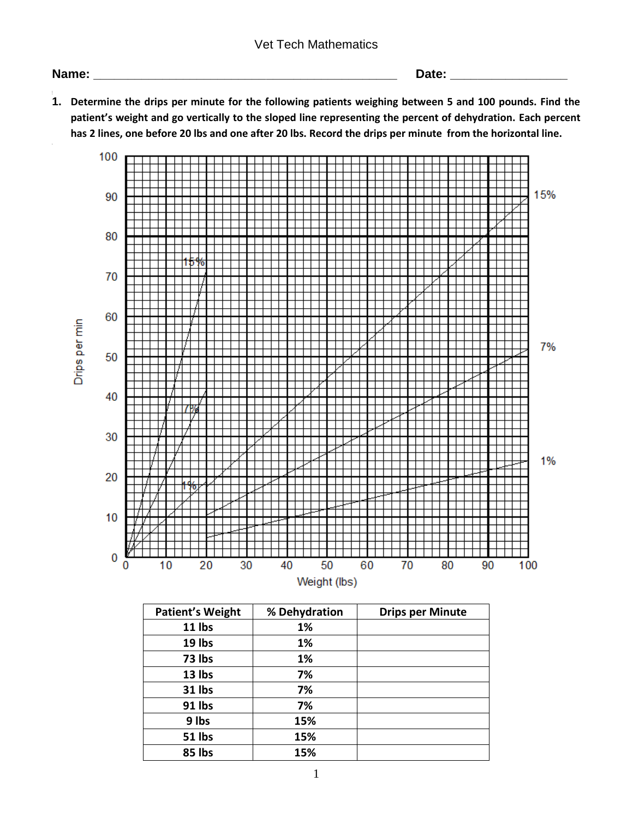## Vet Tech Mathematics

## **Name: \_\_\_\_\_\_\_\_\_\_\_\_\_\_\_\_\_\_\_\_\_\_\_\_\_\_\_\_\_\_\_\_\_\_\_\_\_\_\_\_\_\_\_\_ Date: \_\_\_\_\_\_\_\_\_\_\_\_\_\_\_\_\_**

**1. Determine the drips per minute for the following patients weighing between 5 and 100 pounds. Find the patient's weight and go vertically to the sloped line representing the percent of dehydration. Each percent has 2 lines, one before 20 lbs and one after 20 lbs. Record the drips per minute from the horizontal line.**



| <b>Patient's Weight</b> | % Dehydration | <b>Drips per Minute</b> |
|-------------------------|---------------|-------------------------|
| 11 lbs                  | 1%            |                         |
| 19 lbs                  | 1%            |                         |
| 73 lbs                  | 1%            |                         |
| 13 lbs                  | 7%            |                         |
| 31 lbs                  | 7%            |                         |
| 91 lbs                  | 7%            |                         |
| 9 lbs                   | 15%           |                         |
| 51 lbs                  | 15%           |                         |
| 85 lbs                  | 15%           |                         |